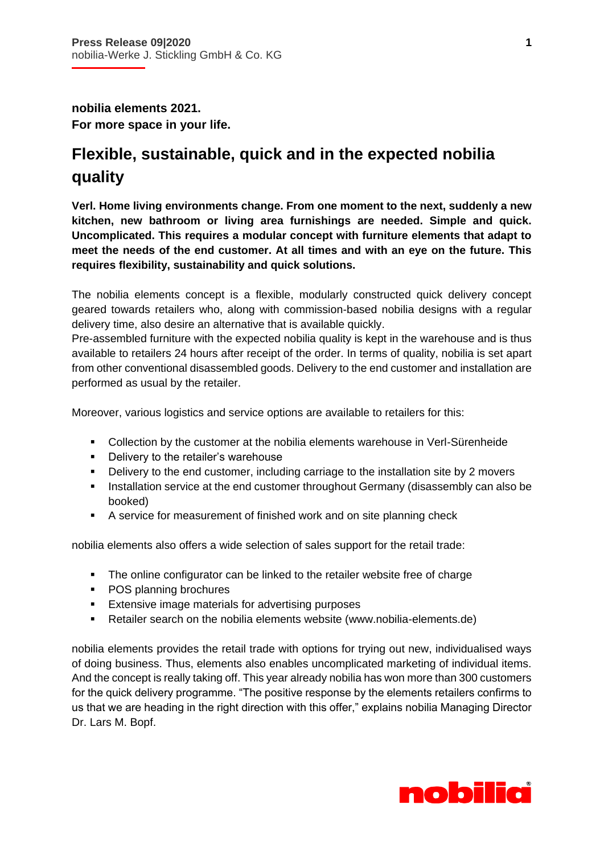**nobilia elements 2021. For more space in your life.**

İ

## **Flexible, sustainable, quick and in the expected nobilia quality**

**Verl. Home living environments change. From one moment to the next, suddenly a new kitchen, new bathroom or living area furnishings are needed. Simple and quick. Uncomplicated. This requires a modular concept with furniture elements that adapt to meet the needs of the end customer. At all times and with an eye on the future. This requires flexibility, sustainability and quick solutions.** 

The nobilia elements concept is a flexible, modularly constructed quick delivery concept geared towards retailers who, along with commission-based nobilia designs with a regular delivery time, also desire an alternative that is available quickly.

Pre-assembled furniture with the expected nobilia quality is kept in the warehouse and is thus available to retailers 24 hours after receipt of the order. In terms of quality, nobilia is set apart from other conventional disassembled goods. Delivery to the end customer and installation are performed as usual by the retailer.

Moreover, various logistics and service options are available to retailers for this:

- Collection by the customer at the nobilia elements warehouse in Verl-Sürenheide
- Delivery to the retailer's warehouse
- Delivery to the end customer, including carriage to the installation site by 2 movers
- **Installation service at the end customer throughout Germany (disassembly can also be** booked)
- A service for measurement of finished work and on site planning check

nobilia elements also offers a wide selection of sales support for the retail trade:

- The online configurator can be linked to the retailer website free of charge
- POS planning brochures
- **Extensive image materials for advertising purposes**
- Retailer search on the nobilia elements website (www.nobilia-elements.de)

nobilia elements provides the retail trade with options for trying out new, individualised ways of doing business. Thus, elements also enables uncomplicated marketing of individual items. And the concept is really taking off. This year already nobilia has won more than 300 customers for the quick delivery programme. "The positive response by the elements retailers confirms to us that we are heading in the right direction with this offer," explains nobilia Managing Director Dr. Lars M. Bopf.